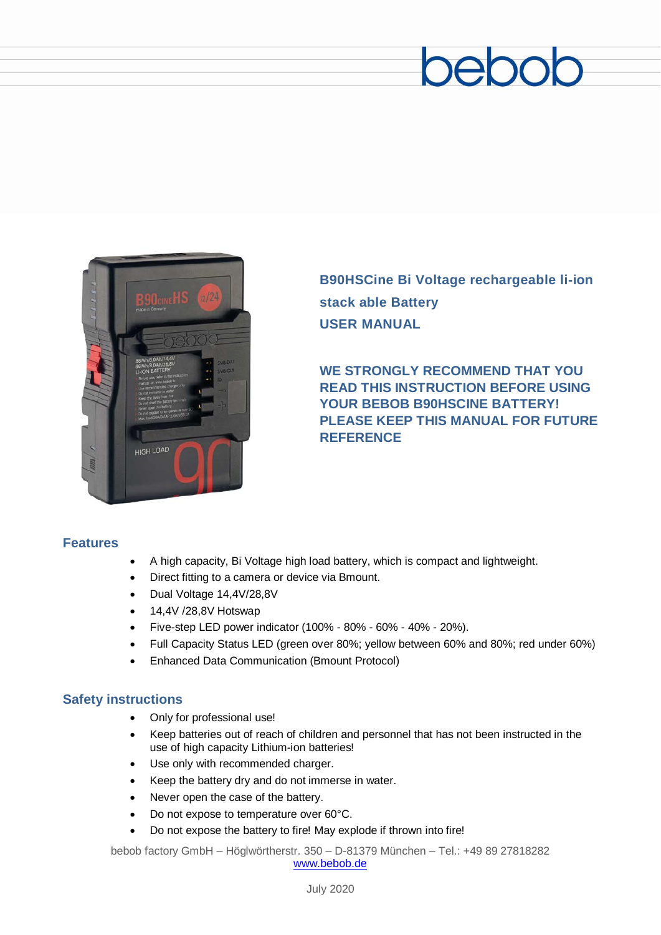# beboc



**B90HSCine Bi Voltage rechargeable li-ion stack able Battery USER MANUAL**

**WE STRONGLY RECOMMEND THAT YOU READ THIS INSTRUCTION BEFORE USING YOUR BEBOB B90HSCINE BATTERY! PLEASE KEEP THIS MANUAL FOR FUTURE REFERENCE**

#### **Features**

- A high capacity, Bi Voltage high load battery, which is compact and lightweight.
- Direct fitting to a camera or device via Bmount.
- Dual Voltage 14,4V/28,8V
- 14,4V /28,8V Hotswap
- Five-step LED power indicator (100% 80% 60% 40% 20%).
- Full Capacity Status LED (green over 80%; yellow between 60% and 80%; red under 60%)
- Enhanced Data Communication (Bmount Protocol)

#### **Safety instructions**

- Only for professional use!
- Keep batteries out of reach of children and personnel that has not been instructed in the use of high capacity Lithium-ion batteries!
- Use only with recommended charger.
- Keep the battery dry and do not immerse in water.
- Never open the case of the battery.
- Do not expose to temperature over 60°C.
- Do not expose the battery to fire! May explode if thrown into fire!

bebob factory GmbH – Höglwörtherstr. 350 – D-81379 München – Tel.: +49 89 27818282 [www.bebob.de](http://www.bebob.de/)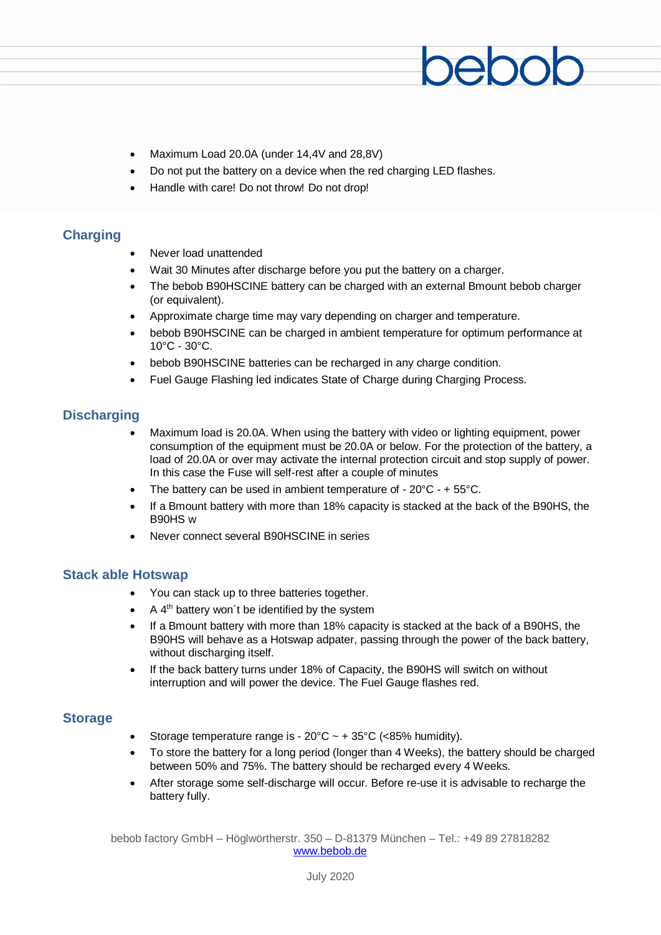- Maximum Load 20.0A (under 14,4V and 28,8V)
- Do not put the battery on a device when the red charging LED flashes.
- Handle with care! Do not throw! Do not drop!

#### **Charging**

- Never load unattended
- Wait 30 Minutes after discharge before you put the battery on a charger.
- The bebob B90HSCINE battery can be charged with an external Bmount bebob charger (or equivalent).
- Approximate charge time may vary depending on charger and temperature.
- bebob B90HSCINE can be charged in ambient temperature for optimum performance at 10°C - 30°C.
- bebob B90HSCINE batteries can be recharged in any charge condition.
- Fuel Gauge Flashing led indicates State of Charge during Charging Process.

#### **Discharging**

- Maximum load is 20.0A. When using the battery with video or lighting equipment, power consumption of the equipment must be 20.0A or below. For the protection of the battery, a load of 20.0A or over may activate the internal protection circuit and stop supply of power. In this case the Fuse will self-rest after a couple of minutes
- The battery can be used in ambient temperature of  $20^{\circ}$ C +  $55^{\circ}$ C.
- If a Bmount battery with more than 18% capacity is stacked at the back of the B90HS, the B90HS w
- Never connect several B90HSCINE in series

#### **Stack able Hotswap**

- You can stack up to three batteries together.
- $A$  4<sup>th</sup> battery won't be identified by the system
- If a Bmount battery with more than 18% capacity is stacked at the back of a B90HS, the B90HS will behave as a Hotswap adpater, passing through the power of the back battery, without discharging itself.
- If the back battery turns under 18% of Capacity, the B90HS will switch on without interruption and will power the device. The Fuel Gauge flashes red.

#### **Storage**

- Storage temperature range is  $20^{\circ}$ C  $\sim$  +  $35^{\circ}$ C (<85% humidity).
- To store the battery for a long period (longer than 4 Weeks), the battery should be charged between 50% and 75%. The battery should be recharged every 4 Weeks.
- After storage some self-discharge will occur. Before re-use it is advisable to recharge the battery fully.

bebob factory GmbH – Höglwörtherstr. 350 – D-81379 München – Tel.: +49 89 27818282 [www.bebob.de](http://www.bebob.de/)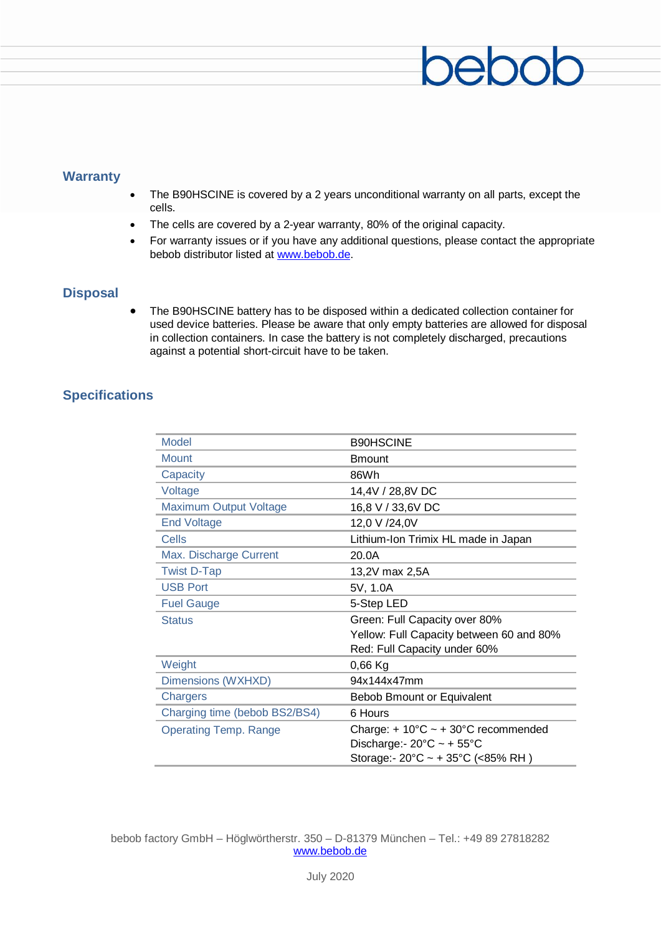## pepd

#### **Warranty**

- The B90HSCINE is covered by a 2 years unconditional warranty on all parts, except the cells.
- The cells are covered by a 2-year warranty, 80% of the original capacity.
- For warranty issues or if you have any additional questions, please contact the appropriate bebob distributor listed at [www.bebob.de.](http://www.bebob.de/)

#### **Disposal**

• The B90HSCINE battery has to be disposed within a dedicated collection container for used device batteries. Please be aware that only empty batteries are allowed for disposal in collection containers. In case the battery is not completely discharged, precautions against a potential short-circuit have to be taken.

#### **Specifications**

| <b>Model</b>                  | <b>B90HSCINE</b>                                       |
|-------------------------------|--------------------------------------------------------|
| <b>Mount</b>                  | <b>Bmount</b>                                          |
| Capacity                      | 86Wh                                                   |
| Voltage                       | 14,4V / 28,8V DC                                       |
| <b>Maximum Output Voltage</b> | 16,8 V / 33,6V DC                                      |
| <b>End Voltage</b>            | 12,0 V /24,0V                                          |
| Cells                         | Lithium-Ion Trimix HL made in Japan                    |
| Max. Discharge Current        | 20.0A                                                  |
| <b>Twist D-Tap</b>            | 13,2V max 2,5A                                         |
| <b>USB Port</b>               | 5V, 1.0A                                               |
| <b>Fuel Gauge</b>             | 5-Step LED                                             |
| <b>Status</b>                 | Green: Full Capacity over 80%                          |
|                               | Yellow: Full Capacity between 60 and 80%               |
|                               | Red: Full Capacity under 60%                           |
| Weight                        | $0,66$ Kg                                              |
| Dimensions (WXHXD)            | 94x144x47mm                                            |
| Chargers                      | Bebob Bmount or Equivalent                             |
| Charging time (bebob BS2/BS4) | 6 Hours                                                |
| <b>Operating Temp. Range</b>  | Charge: + $10^{\circ}$ C ~ + 30°C recommended          |
|                               | Discharge: - $20^{\circ}$ C ~ + $55^{\circ}$ C         |
|                               | Storage:- $20^{\circ}$ C ~ + 35 $^{\circ}$ C (<85% RH) |

bebob factory GmbH – Höglwörtherstr. 350 – D-81379 München – Tel.: +49 89 27818282 [www.bebob.de](http://www.bebob.de/)